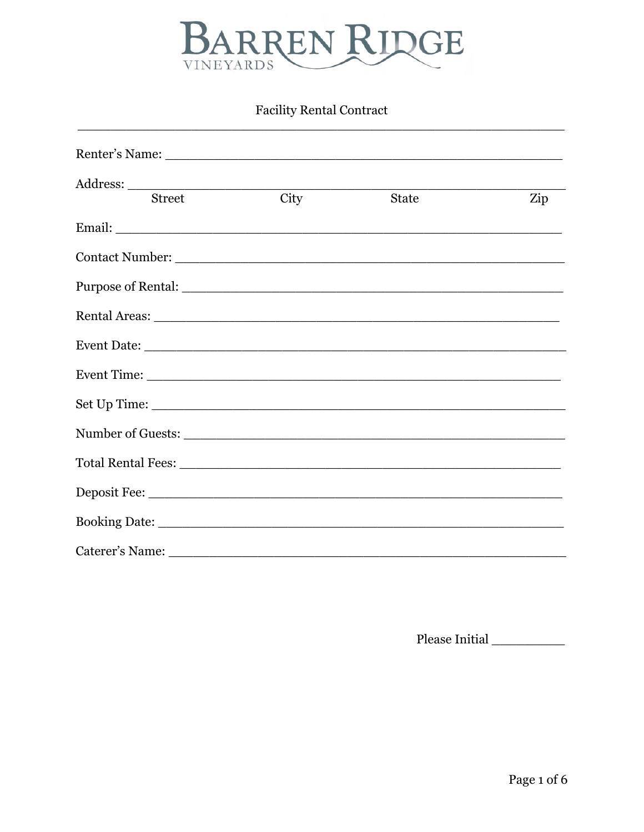

# **Facility Rental Contract**

| <b>Street</b>                         | City | <b>State</b> | Zip |
|---------------------------------------|------|--------------|-----|
| Email: <u>Alexander Communication</u> |      |              |     |
|                                       |      |              |     |
|                                       |      |              |     |
|                                       |      |              |     |
|                                       |      |              |     |
|                                       |      |              |     |
|                                       |      |              |     |
|                                       |      |              |     |
|                                       |      |              |     |
|                                       |      |              |     |
|                                       |      |              |     |
|                                       |      |              |     |

Please Initial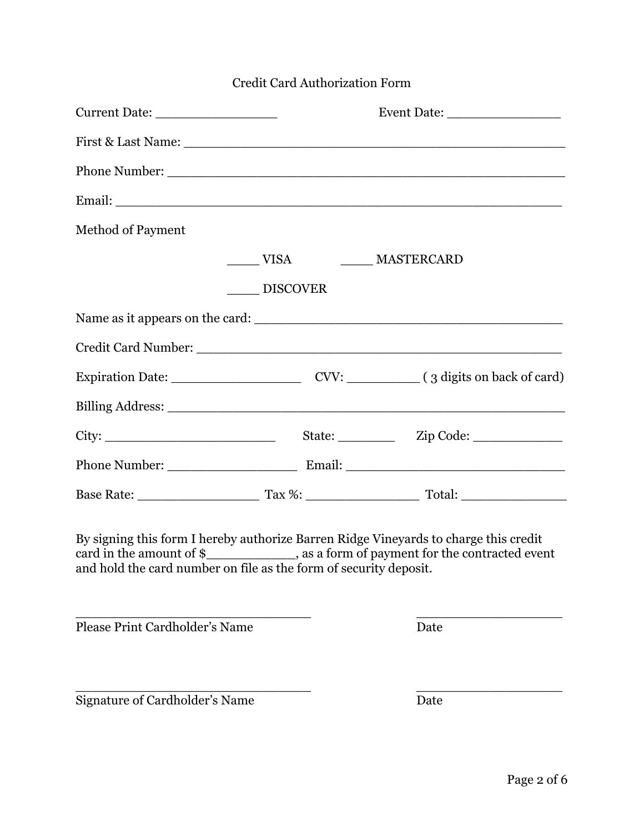| Credit Card Authorization Form                                                                                                                                                                                                                |                 |                                   |  |  |
|-----------------------------------------------------------------------------------------------------------------------------------------------------------------------------------------------------------------------------------------------|-----------------|-----------------------------------|--|--|
|                                                                                                                                                                                                                                               |                 |                                   |  |  |
|                                                                                                                                                                                                                                               |                 |                                   |  |  |
|                                                                                                                                                                                                                                               |                 |                                   |  |  |
|                                                                                                                                                                                                                                               |                 |                                   |  |  |
| <b>Method of Payment</b>                                                                                                                                                                                                                      |                 |                                   |  |  |
|                                                                                                                                                                                                                                               |                 | ______ VISA __________ MASTERCARD |  |  |
|                                                                                                                                                                                                                                               | <b>DISCOVER</b> |                                   |  |  |
|                                                                                                                                                                                                                                               |                 |                                   |  |  |
|                                                                                                                                                                                                                                               |                 |                                   |  |  |
|                                                                                                                                                                                                                                               |                 |                                   |  |  |
|                                                                                                                                                                                                                                               |                 |                                   |  |  |
|                                                                                                                                                                                                                                               |                 |                                   |  |  |
|                                                                                                                                                                                                                                               |                 |                                   |  |  |
|                                                                                                                                                                                                                                               |                 |                                   |  |  |
| By signing this form I hereby authorize Barren Ridge Vineyards to charge this credit<br>card in the amount of $\frac{1}{2}$ . as a form of payment for the contracted event and hold the card number on file as the form of security deposit. |                 |                                   |  |  |
| Please Print Cardholder's Name                                                                                                                                                                                                                |                 | Date                              |  |  |
| Signature of Cardholder's Name                                                                                                                                                                                                                |                 | Date                              |  |  |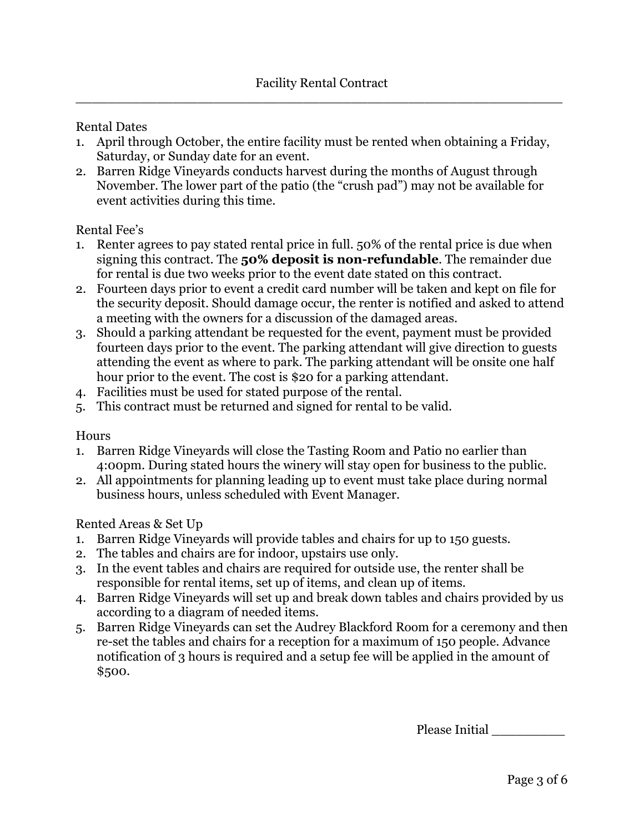#### Rental Dates

- 1. April through October, the entire facility must be rented when obtaining a Friday, Saturday, or Sunday date for an event.
- 2. Barren Ridge Vineyards conducts harvest during the months of August through November. The lower part of the patio (the "crush pad") may not be available for event activities during this time.

### Rental Fee's

- 1. Renter agrees to pay stated rental price in full. 50% of the rental price is due when signing this contract. The **50% deposit is non-refundable**. The remainder due for rental is due two weeks prior to the event date stated on this contract.
- 2. Fourteen days prior to event a credit card number will be taken and kept on file for the security deposit. Should damage occur, the renter is notified and asked to attend a meeting with the owners for a discussion of the damaged areas.
- 3. Should a parking attendant be requested for the event, payment must be provided fourteen days prior to the event. The parking attendant will give direction to guests attending the event as where to park. The parking attendant will be onsite one half hour prior to the event. The cost is \$20 for a parking attendant.
- 4. Facilities must be used for stated purpose of the rental.
- 5. This contract must be returned and signed for rental to be valid.

#### Hours

- 1. Barren Ridge Vineyards will close the Tasting Room and Patio no earlier than 4:00pm. During stated hours the winery will stay open for business to the public.
- 2. All appointments for planning leading up to event must take place during normal business hours, unless scheduled with Event Manager.

#### Rented Areas & Set Up

- 1. Barren Ridge Vineyards will provide tables and chairs for up to 150 guests.
- 2. The tables and chairs are for indoor, upstairs use only.
- 3. In the event tables and chairs are required for outside use, the renter shall be responsible for rental items, set up of items, and clean up of items.
- 4. Barren Ridge Vineyards will set up and break down tables and chairs provided by us according to a diagram of needed items.
- 5. Barren Ridge Vineyards can set the Audrey Blackford Room for a ceremony and then re-set the tables and chairs for a reception for a maximum of 150 people. Advance notification of 3 hours is required and a setup fee will be applied in the amount of \$500.

Please Initial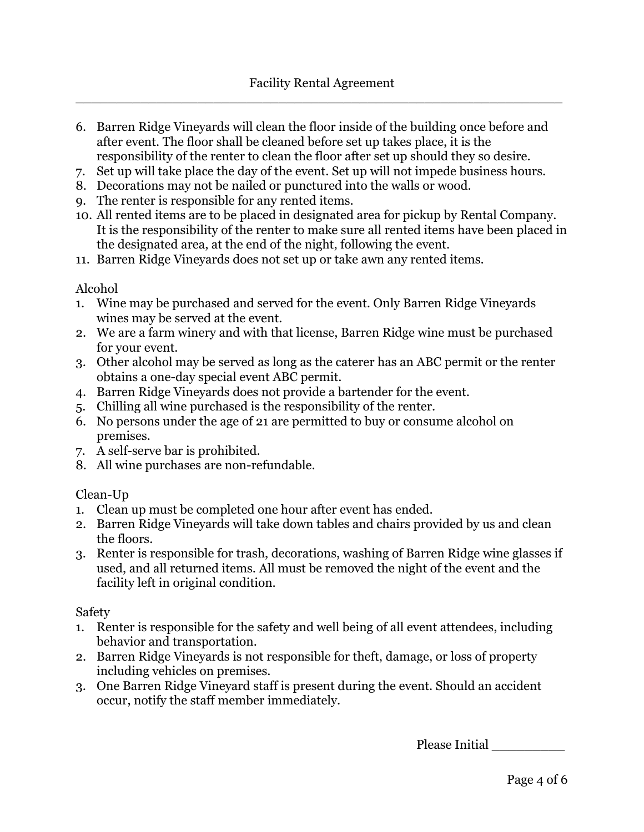- 6. Barren Ridge Vineyards will clean the floor inside of the building once before and after event. The floor shall be cleaned before set up takes place, it is the responsibility of the renter to clean the floor after set up should they so desire.
- 7. Set up will take place the day of the event. Set up will not impede business hours.
- 8. Decorations may not be nailed or punctured into the walls or wood.
- 9. The renter is responsible for any rented items.
- 10. All rented items are to be placed in designated area for pickup by Rental Company. It is the responsibility of the renter to make sure all rented items have been placed in the designated area, at the end of the night, following the event.
- 11. Barren Ridge Vineyards does not set up or take awn any rented items.

#### Alcohol

- 1. Wine may be purchased and served for the event. Only Barren Ridge Vineyards wines may be served at the event.
- 2. We are a farm winery and with that license, Barren Ridge wine must be purchased for your event.
- 3. Other alcohol may be served as long as the caterer has an ABC permit or the renter obtains a one-day special event ABC permit.
- 4. Barren Ridge Vineyards does not provide a bartender for the event.
- 5. Chilling all wine purchased is the responsibility of the renter.
- 6. No persons under the age of 21 are permitted to buy or consume alcohol on premises.
- 7. A self-serve bar is prohibited.
- 8. All wine purchases are non-refundable.

#### Clean-Up

- 1. Clean up must be completed one hour after event has ended.
- 2. Barren Ridge Vineyards will take down tables and chairs provided by us and clean the floors.
- 3. Renter is responsible for trash, decorations, washing of Barren Ridge wine glasses if used, and all returned items. All must be removed the night of the event and the facility left in original condition.

#### Safety

- 1. Renter is responsible for the safety and well being of all event attendees, including behavior and transportation.
- 2. Barren Ridge Vineyards is not responsible for theft, damage, or loss of property including vehicles on premises.
- 3. One Barren Ridge Vineyard staff is present during the event. Should an accident occur, notify the staff member immediately.

Please Initial \_\_\_\_\_\_\_\_\_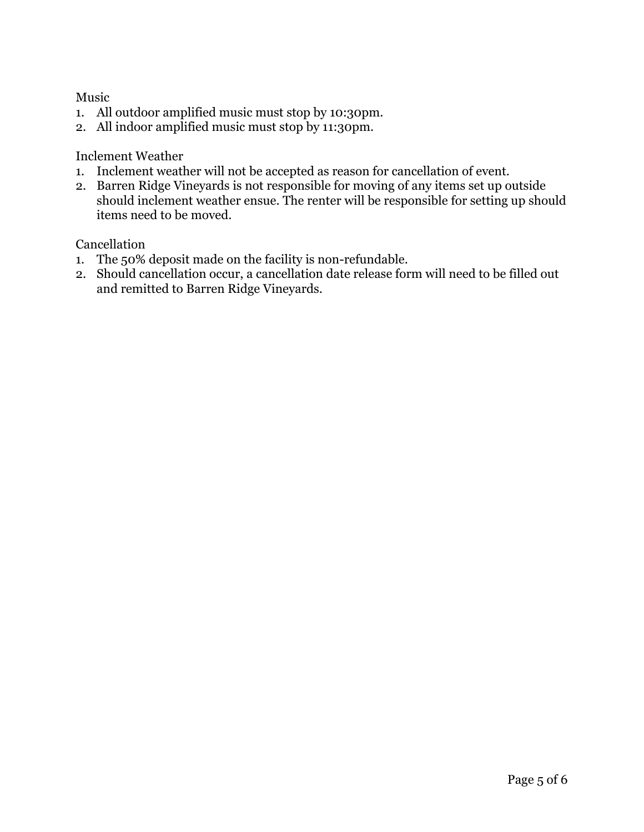Music

- 1. All outdoor amplified music must stop by 10:30pm.
- 2. All indoor amplified music must stop by 11:30pm.

Inclement Weather

- 1. Inclement weather will not be accepted as reason for cancellation of event.
- 2. Barren Ridge Vineyards is not responsible for moving of any items set up outside should inclement weather ensue. The renter will be responsible for setting up should items need to be moved.

Cancellation

- 1. The 50% deposit made on the facility is non-refundable.
- 2. Should cancellation occur, a cancellation date release form will need to be filled out and remitted to Barren Ridge Vineyards.